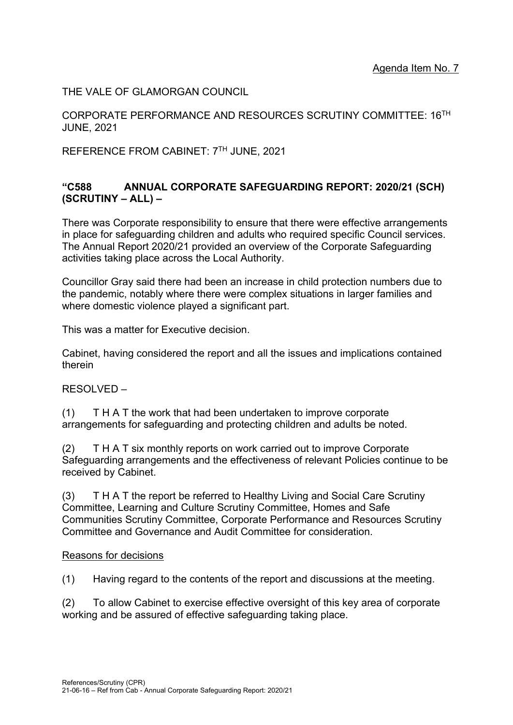THE VALE OF GLAMORGAN COUNCIL

CORPORATE PERFORMANCE AND RESOURCES SCRUTINY COMMITTEE: 16TH JUNE, 2021

REFERENCE FROM CABINET: 7TH JUNE, 2021

#### **"C588 ANNUAL CORPORATE SAFEGUARDING REPORT: 2020/21 (SCH) (SCRUTINY – ALL) –**

There was Corporate responsibility to ensure that there were effective arrangements in place for safeguarding children and adults who required specific Council services. The Annual Report 2020/21 provided an overview of the Corporate Safeguarding activities taking place across the Local Authority.

Councillor Gray said there had been an increase in child protection numbers due to the pandemic, notably where there were complex situations in larger families and where domestic violence played a significant part.

This was a matter for Executive decision.

Cabinet, having considered the report and all the issues and implications contained therein

RESOLVED –

(1) T H A T the work that had been undertaken to improve corporate arrangements for safeguarding and protecting children and adults be noted.

(2) T H A T six monthly reports on work carried out to improve Corporate Safeguarding arrangements and the effectiveness of relevant Policies continue to be received by Cabinet.

(3) T H A T the report be referred to Healthy Living and Social Care Scrutiny Committee, Learning and Culture Scrutiny Committee, Homes and Safe Communities Scrutiny Committee, Corporate Performance and Resources Scrutiny Committee and Governance and Audit Committee for consideration.

#### Reasons for decisions

(1) Having regard to the contents of the report and discussions at the meeting.

(2) To allow Cabinet to exercise effective oversight of this key area of corporate working and be assured of effective safeguarding taking place.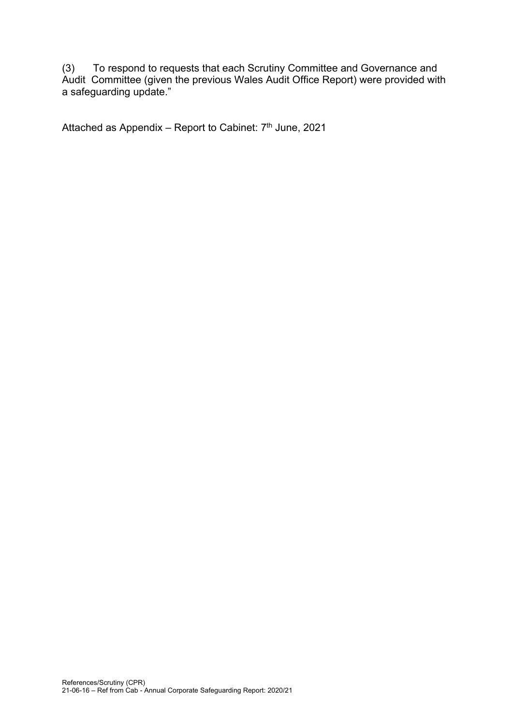(3) To respond to requests that each Scrutiny Committee and Governance and Audit Committee (given the previous Wales Audit Office Report) were provided with a safeguarding update."

Attached as Appendix – Report to Cabinet:  $7<sup>th</sup>$  June, 2021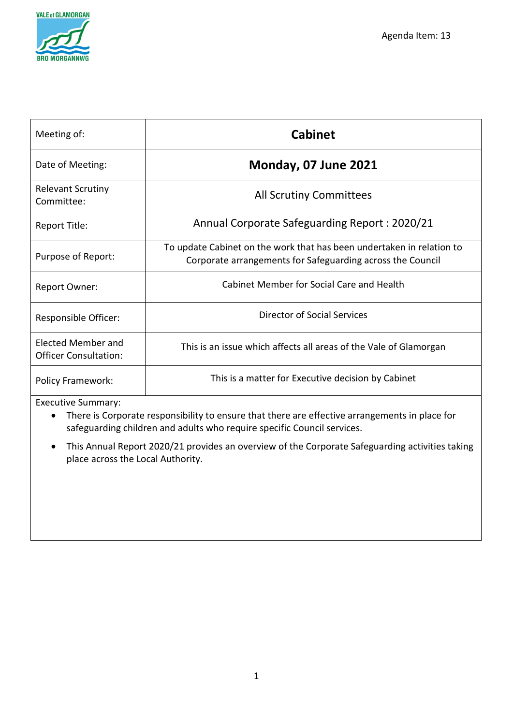

| Meeting of:                                               | <b>Cabinet</b>                                                                                                                      |  |  |
|-----------------------------------------------------------|-------------------------------------------------------------------------------------------------------------------------------------|--|--|
| Date of Meeting:                                          | <b>Monday, 07 June 2021</b>                                                                                                         |  |  |
| <b>Relevant Scrutiny</b><br>Committee:                    | <b>All Scrutiny Committees</b>                                                                                                      |  |  |
| Report Title:                                             | Annual Corporate Safeguarding Report: 2020/21                                                                                       |  |  |
| Purpose of Report:                                        | To update Cabinet on the work that has been undertaken in relation to<br>Corporate arrangements for Safeguarding across the Council |  |  |
| <b>Report Owner:</b>                                      | Cabinet Member for Social Care and Health                                                                                           |  |  |
| Responsible Officer:                                      | Director of Social Services                                                                                                         |  |  |
| <b>Elected Member and</b><br><b>Officer Consultation:</b> | This is an issue which affects all areas of the Vale of Glamorgan                                                                   |  |  |
| <b>Policy Framework:</b>                                  | This is a matter for Executive decision by Cabinet                                                                                  |  |  |

Executive Summary:

- There is Corporate responsibility to ensure that there are effective arrangements in place for safeguarding children and adults who require specific Council services.
- This Annual Report 2020/21 provides an overview of the Corporate Safeguarding activities taking place across the Local Authority.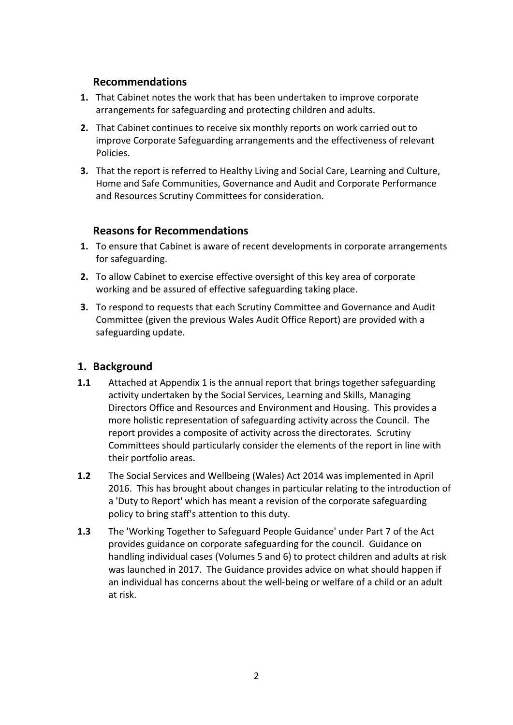#### **Recommendations**

- **1.** That Cabinet notes the work that has been undertaken to improve corporate arrangements for safeguarding and protecting children and adults.
- **2.** That Cabinet continues to receive six monthly reports on work carried out to improve Corporate Safeguarding arrangements and the effectiveness of relevant Policies.
- **3.** That the report is referred to Healthy Living and Social Care, Learning and Culture, Home and Safe Communities, Governance and Audit and Corporate Performance and Resources Scrutiny Committees for consideration.

#### **Reasons for Recommendations**

- **1.** To ensure that Cabinet is aware of recent developments in corporate arrangements for safeguarding.
- **2.** To allow Cabinet to exercise effective oversight of this key area of corporate working and be assured of effective safeguarding taking place.
- **3.** To respond to requests that each Scrutiny Committee and Governance and Audit Committee (given the previous Wales Audit Office Report) are provided with a safeguarding update.

#### **1. Background**

- **1.1** Attached at Appendix 1 is the annual report that brings together safeguarding activity undertaken by the Social Services, Learning and Skills, Managing Directors Office and Resources and Environment and Housing. This provides a more holistic representation of safeguarding activity across the Council. The report provides a composite of activity across the directorates. Scrutiny Committees should particularly consider the elements of the report in line with their portfolio areas.
- **1.2** The Social Services and Wellbeing (Wales) Act 2014 was implemented in April 2016. This has brought about changes in particular relating to the introduction of a 'Duty to Report' which has meant a revision of the corporate safeguarding policy to bring staff's attention to this duty.
- **1.3** The 'Working Together to Safeguard People Guidance' under Part 7 of the Act provides guidance on corporate safeguarding for the council. Guidance on handling individual cases (Volumes 5 and 6) to protect children and adults at risk was launched in 2017. The Guidance provides advice on what should happen if an individual has concerns about the well-being or welfare of a child or an adult at risk.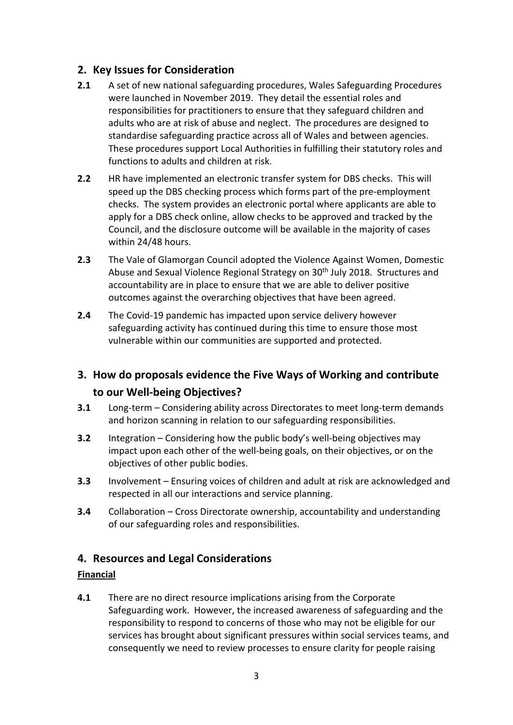#### **2. Key Issues for Consideration**

- **2.1** A set of new national safeguarding procedures, Wales Safeguarding Procedures were launched in November 2019. They detail the essential roles and responsibilities for practitioners to ensure that they safeguard children and adults who are at risk of abuse and neglect. The procedures are designed to standardise safeguarding practice across all of Wales and between agencies. These procedures support Local Authorities in fulfilling their statutory roles and functions to adults and children at risk.
- **2.2** HR have implemented an electronic transfer system for DBS checks. This will speed up the DBS checking process which forms part of the pre-employment checks. The system provides an electronic portal where applicants are able to apply for a DBS check online, allow checks to be approved and tracked by the Council, and the disclosure outcome will be available in the majority of cases within 24/48 hours.
- **2.3** The Vale of Glamorgan Council adopted the Violence Against Women, Domestic Abuse and Sexual Violence Regional Strategy on 30<sup>th</sup> July 2018. Structures and accountability are in place to ensure that we are able to deliver positive outcomes against the overarching objectives that have been agreed.
- **2.4** The Covid-19 pandemic has impacted upon service delivery however safeguarding activity has continued during this time to ensure those most vulnerable within our communities are supported and protected.

### **3. How do proposals evidence the Five Ways of Working and contribute to our Well-being Objectives?**

- **3.1** Long-term Considering ability across Directorates to meet long-term demands and horizon scanning in relation to our safeguarding responsibilities.
- **3.2** Integration Considering how the public body's well-being objectives may impact upon each other of the well-being goals, on their objectives, or on the objectives of other public bodies.
- **3.3** Involvement Ensuring voices of children and adult at risk are acknowledged and respected in all our interactions and service planning.
- **3.4** Collaboration Cross Directorate ownership, accountability and understanding of our safeguarding roles and responsibilities.

#### **4. Resources and Legal Considerations**

#### **Financial**

**4.1** There are no direct resource implications arising from the Corporate Safeguarding work. However, the increased awareness of safeguarding and the responsibility to respond to concerns of those who may not be eligible for our services has brought about significant pressures within social services teams, and consequently we need to review processes to ensure clarity for people raising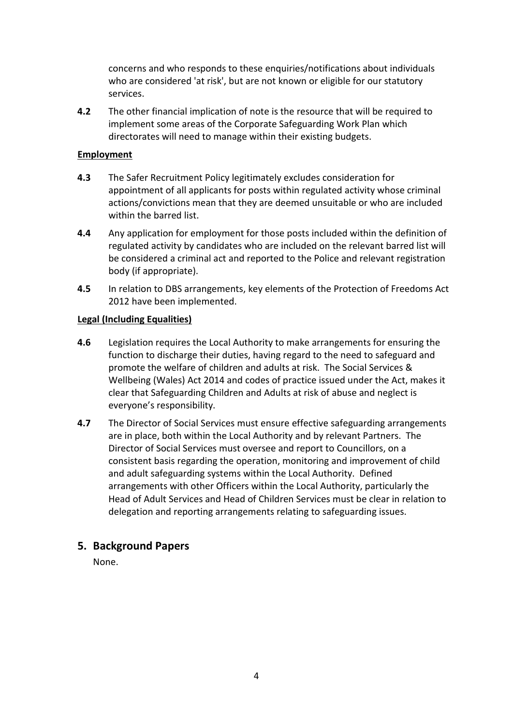concerns and who responds to these enquiries/notifications about individuals who are considered 'at risk', but are not known or eligible for our statutory services.

**4.2** The other financial implication of note is the resource that will be required to implement some areas of the Corporate Safeguarding Work Plan which directorates will need to manage within their existing budgets.

#### **Employment**

- **4.3** The Safer Recruitment Policy legitimately excludes consideration for appointment of all applicants for posts within regulated activity whose criminal actions/convictions mean that they are deemed unsuitable or who are included within the barred list.
- **4.4** Any application for employment for those posts included within the definition of regulated activity by candidates who are included on the relevant barred list will be considered a criminal act and reported to the Police and relevant registration body (if appropriate).
- **4.5** In relation to DBS arrangements, key elements of the Protection of Freedoms Act 2012 have been implemented.

#### **Legal (Including Equalities)**

- **4.6** Legislation requires the Local Authority to make arrangements for ensuring the function to discharge their duties, having regard to the need to safeguard and promote the welfare of children and adults at risk. The Social Services & Wellbeing (Wales) Act 2014 and codes of practice issued under the Act, makes it clear that Safeguarding Children and Adults at risk of abuse and neglect is everyone's responsibility.
- **4.7** The Director of Social Services must ensure effective safeguarding arrangements are in place, both within the Local Authority and by relevant Partners. The Director of Social Services must oversee and report to Councillors, on a consistent basis regarding the operation, monitoring and improvement of child and adult safeguarding systems within the Local Authority. Defined arrangements with other Officers within the Local Authority, particularly the Head of Adult Services and Head of Children Services must be clear in relation to delegation and reporting arrangements relating to safeguarding issues.

#### **5. Background Papers**

None.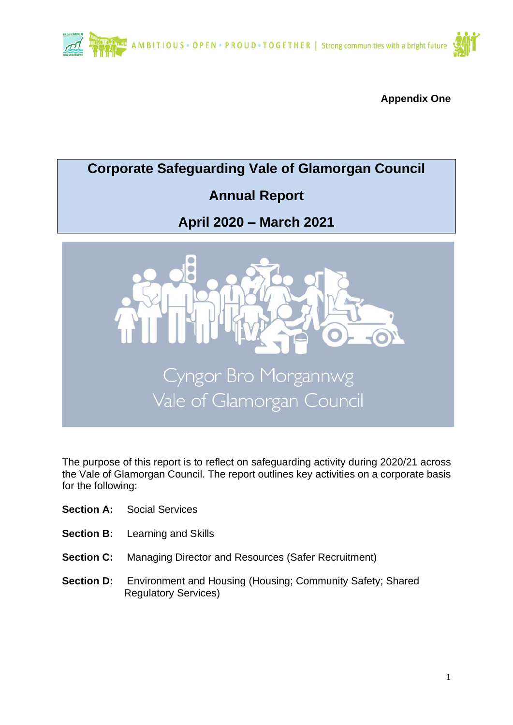

**Appendix One**

# **Corporate Safeguarding Vale of Glamorgan Council Annual Report April 2020 – March 2021** Cyngor Bro Morgannwg Vale of Glamorgan Council

The purpose of this report is to reflect on safeguarding activity during 2020/21 across the Vale of Glamorgan Council. The report outlines key activities on a corporate basis for the following:

- **Section A:** Social Services
- **Section B:** Learning and Skills
- **Section C:** Managing Director and Resources (Safer Recruitment)
- **Section D:** Environment and Housing (Housing; Community Safety; Shared Regulatory Services)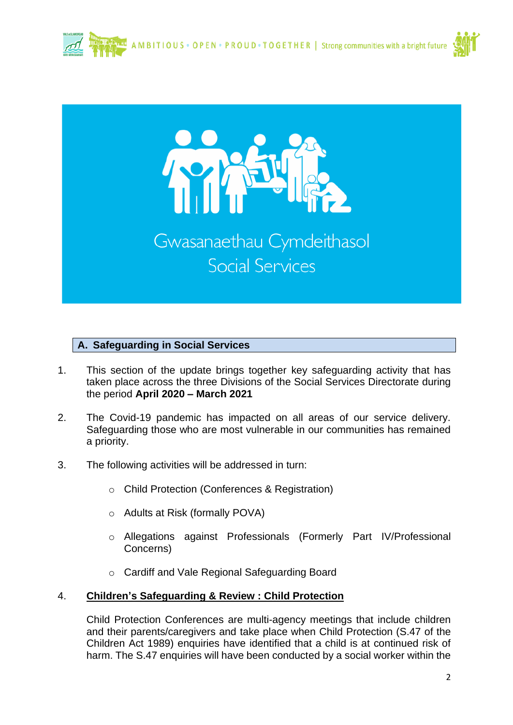



#### **A. Safeguarding in Social Services**

- 1. This section of the update brings together key safeguarding activity that has taken place across the three Divisions of the Social Services Directorate during the period **April 2020 – March 2021**
- 2. The Covid-19 pandemic has impacted on all areas of our service delivery. Safeguarding those who are most vulnerable in our communities has remained a priority.
- 3. The following activities will be addressed in turn:
	- o Child Protection (Conferences & Registration)
	- o Adults at Risk (formally POVA)
	- o Allegations against Professionals (Formerly Part IV/Professional Concerns)
	- o Cardiff and Vale Regional Safeguarding Board

#### 4. **Children's Safeguarding & Review : Child Protection**

Child Protection Conferences are multi-agency meetings that include children and their parents/caregivers and take place when Child Protection (S.47 of the Children Act 1989) enquiries have identified that a child is at continued risk of harm. The S.47 enquiries will have been conducted by a social worker within the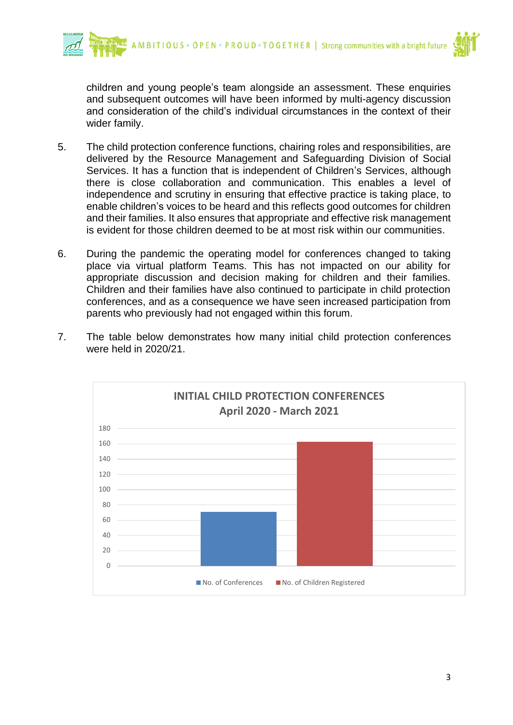



children and young people's team alongside an assessment. These enquiries and subsequent outcomes will have been informed by multi-agency discussion and consideration of the child's individual circumstances in the context of their wider family.

- 5. The child protection conference functions, chairing roles and responsibilities, are delivered by the Resource Management and Safeguarding Division of Social Services. It has a function that is independent of Children's Services, although there is close collaboration and communication. This enables a level of independence and scrutiny in ensuring that effective practice is taking place, to enable children's voices to be heard and this reflects good outcomes for children and their families. It also ensures that appropriate and effective risk management is evident for those children deemed to be at most risk within our communities.
- 6. During the pandemic the operating model for conferences changed to taking place via virtual platform Teams. This has not impacted on our ability for appropriate discussion and decision making for children and their families. Children and their families have also continued to participate in child protection conferences, and as a consequence we have seen increased participation from parents who previously had not engaged within this forum.
- 7. The table below demonstrates how many initial child protection conferences were held in 2020/21.

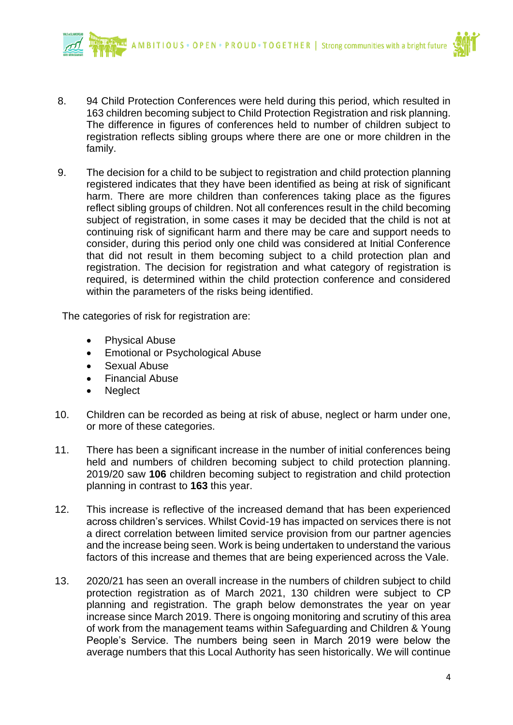

- 8. 94 Child Protection Conferences were held during this period, which resulted in 163 children becoming subject to Child Protection Registration and risk planning. The difference in figures of conferences held to number of children subject to registration reflects sibling groups where there are one or more children in the family.
- 9. The decision for a child to be subject to registration and child protection planning registered indicates that they have been identified as being at risk of significant harm. There are more children than conferences taking place as the figures reflect sibling groups of children. Not all conferences result in the child becoming subject of registration, in some cases it may be decided that the child is not at continuing risk of significant harm and there may be care and support needs to consider, during this period only one child was considered at Initial Conference that did not result in them becoming subject to a child protection plan and registration. The decision for registration and what category of registration is required, is determined within the child protection conference and considered within the parameters of the risks being identified.

The categories of risk for registration are:

- Physical Abuse
- Emotional or Psychological Abuse
- Sexual Abuse
- Financial Abuse
- **Neglect**
- 10. Children can be recorded as being at risk of abuse, neglect or harm under one, or more of these categories.
- 11. There has been a significant increase in the number of initial conferences being held and numbers of children becoming subject to child protection planning. 2019/20 saw **106** children becoming subject to registration and child protection planning in contrast to **163** this year.
- 12. This increase is reflective of the increased demand that has been experienced across children's services. Whilst Covid-19 has impacted on services there is not a direct correlation between limited service provision from our partner agencies and the increase being seen. Work is being undertaken to understand the various factors of this increase and themes that are being experienced across the Vale.
- 13. 2020/21 has seen an overall increase in the numbers of children subject to child protection registration as of March 2021, 130 children were subject to CP planning and registration. The graph below demonstrates the year on year increase since March 2019. There is ongoing monitoring and scrutiny of this area of work from the management teams within Safeguarding and Children & Young People's Service. The numbers being seen in March 2019 were below the average numbers that this Local Authority has seen historically. We will continue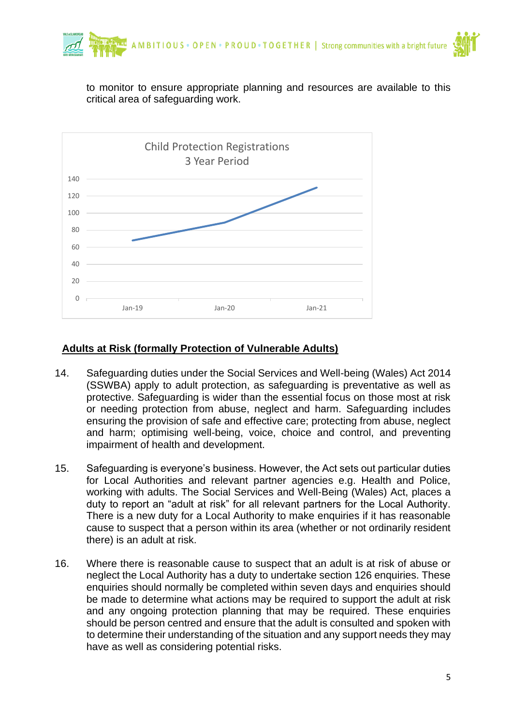

to monitor to ensure appropriate planning and resources are available to this critical area of safeguarding work.



#### **Adults at Risk (formally Protection of Vulnerable Adults)**

- 14. Safeguarding duties under the Social Services and Well-being (Wales) Act 2014 (SSWBA) apply to adult protection, as safeguarding is preventative as well as protective. Safeguarding is wider than the essential focus on those most at risk or needing protection from abuse, neglect and harm. Safeguarding includes ensuring the provision of safe and effective care; protecting from abuse, neglect and harm; optimising well-being, voice, choice and control, and preventing impairment of health and development.
- 15. Safeguarding is everyone's business. However, the Act sets out particular duties for Local Authorities and relevant partner agencies e.g. Health and Police, working with adults. The Social Services and Well-Being (Wales) Act, places a duty to report an "adult at risk" for all relevant partners for the Local Authority. There is a new duty for a Local Authority to make enquiries if it has reasonable cause to suspect that a person within its area (whether or not ordinarily resident there) is an adult at risk.
- 16. Where there is reasonable cause to suspect that an adult is at risk of abuse or neglect the Local Authority has a duty to undertake section 126 enquiries. These enquiries should normally be completed within seven days and enquiries should be made to determine what actions may be required to support the adult at risk and any ongoing protection planning that may be required. These enquiries should be person centred and ensure that the adult is consulted and spoken with to determine their understanding of the situation and any support needs they may have as well as considering potential risks.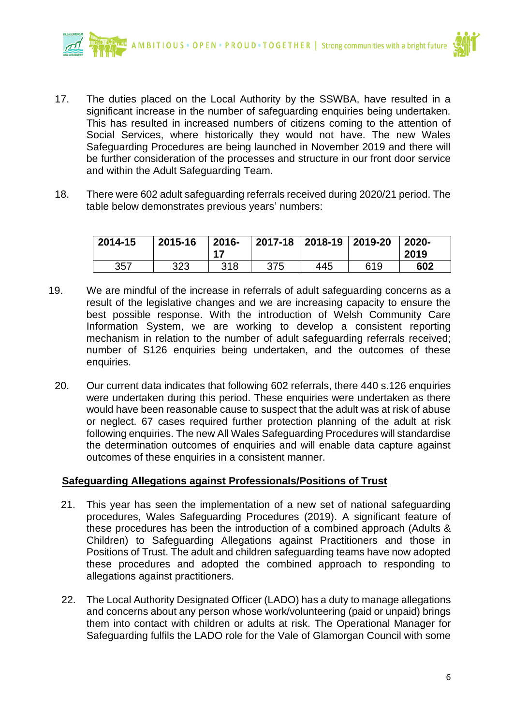

- 17. The duties placed on the Local Authority by the SSWBA, have resulted in a significant increase in the number of safeguarding enquiries being undertaken. This has resulted in increased numbers of citizens coming to the attention of Social Services, where historically they would not have. The new Wales Safeguarding Procedures are being launched in November 2019 and there will be further consideration of the processes and structure in our front door service and within the Adult Safeguarding Team.
- 18. There were 602 adult safeguarding referrals received during 2020/21 period. The table below demonstrates previous years' numbers:

| 2014-15 | 2015-16 | $2016 -$ |     | 2017-18 2018-19 2019-20 |     | $2020 -$<br>2019 |
|---------|---------|----------|-----|-------------------------|-----|------------------|
| 357     | 323     | 318      | 375 | 445                     | 619 | 602              |

- 19. We are mindful of the increase in referrals of adult safeguarding concerns as a result of the legislative changes and we are increasing capacity to ensure the best possible response. With the introduction of Welsh Community Care Information System, we are working to develop a consistent reporting mechanism in relation to the number of adult safeguarding referrals received; number of S126 enquiries being undertaken, and the outcomes of these enquiries.
	- 20. Our current data indicates that following 602 referrals, there 440 s.126 enquiries were undertaken during this period. These enquiries were undertaken as there would have been reasonable cause to suspect that the adult was at risk of abuse or neglect. 67 cases required further protection planning of the adult at risk following enquiries. The new All Wales Safeguarding Procedures will standardise the determination outcomes of enquiries and will enable data capture against outcomes of these enquiries in a consistent manner.

#### **Safeguarding Allegations against Professionals/Positions of Trust**

- 21. This year has seen the implementation of a new set of national safeguarding procedures, Wales Safeguarding Procedures (2019). A significant feature of these procedures has been the introduction of a combined approach (Adults & Children) to Safeguarding Allegations against Practitioners and those in Positions of Trust. The adult and children safeguarding teams have now adopted these procedures and adopted the combined approach to responding to allegations against practitioners.
- 22. The Local Authority Designated Officer (LADO) has a duty to manage allegations and concerns about any person whose work/volunteering (paid or unpaid) brings them into contact with children or adults at risk. The Operational Manager for Safeguarding fulfils the LADO role for the Vale of Glamorgan Council with some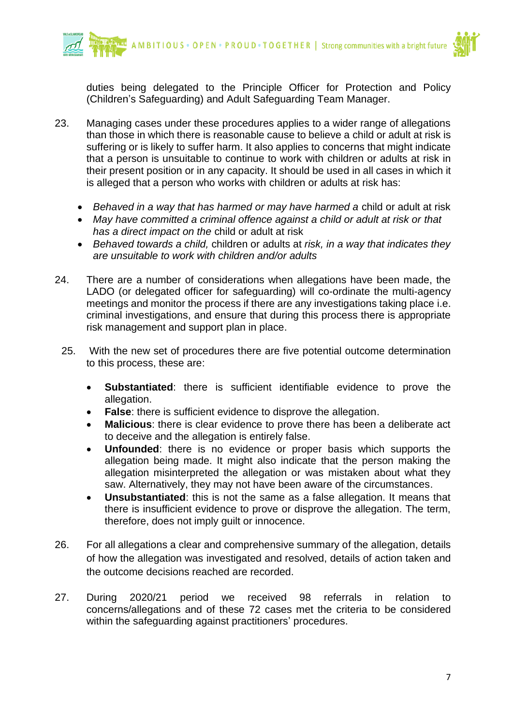

duties being delegated to the Principle Officer for Protection and Policy (Children's Safeguarding) and Adult Safeguarding Team Manager.

- 23. Managing cases under these procedures applies to a wider range of allegations than those in which there is reasonable cause to believe a child or adult at risk is suffering or is likely to suffer harm. It also applies to concerns that might indicate that a person is unsuitable to continue to work with children or adults at risk in their present position or in any capacity. It should be used in all cases in which it is alleged that a person who works with children or adults at risk has:
	- *Behaved in a way that has harmed or may have harmed a* child or adult at risk
	- *May have committed a criminal offence against a child or adult at risk or that has a direct impact on the* child or adult at risk
	- *Behaved towards a child,* children or adults at *risk, in a way that indicates they are unsuitable to work with children and/or adults*
- 24. There are a number of considerations when allegations have been made, the LADO (or delegated officer for safeguarding) will co-ordinate the multi-agency meetings and monitor the process if there are any investigations taking place i.e. criminal investigations, and ensure that during this process there is appropriate risk management and support plan in place.
- 25. With the new set of procedures there are five potential outcome determination to this process, these are:
	- **Substantiated**: there is sufficient identifiable evidence to prove the allegation.
	- **False:** there is sufficient evidence to disprove the allegation.
	- **Malicious:** there is clear evidence to prove there has been a deliberate act to deceive and the allegation is entirely false.
	- **Unfounded**: there is no evidence or proper basis which supports the allegation being made. It might also indicate that the person making the allegation misinterpreted the allegation or was mistaken about what they saw. Alternatively, they may not have been aware of the circumstances.
	- **Unsubstantiated**: this is not the same as a false allegation. It means that there is insufficient evidence to prove or disprove the allegation. The term, therefore, does not imply guilt or innocence.
- 26. For all allegations a clear and comprehensive summary of the allegation, details of how the allegation was investigated and resolved, details of action taken and the outcome decisions reached are recorded.
- 27. During 2020/21 period we received 98 referrals in relation to concerns/allegations and of these 72 cases met the criteria to be considered within the safeguarding against practitioners' procedures.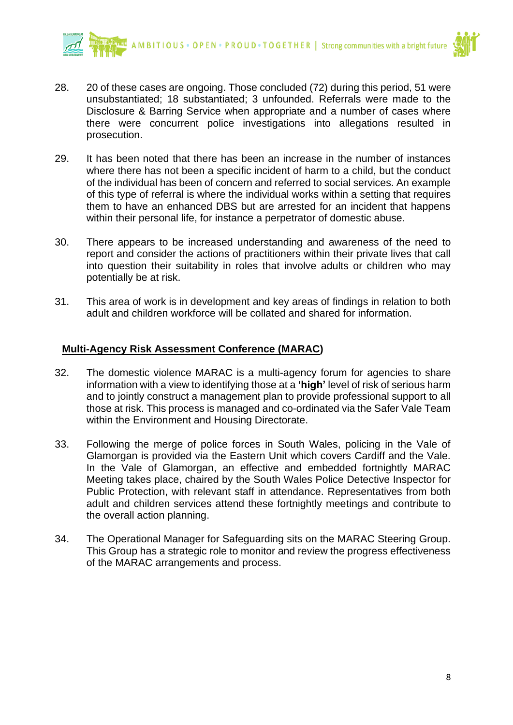

- 28. 20 of these cases are ongoing. Those concluded (72) during this period, 51 were unsubstantiated; 18 substantiated; 3 unfounded. Referrals were made to the Disclosure & Barring Service when appropriate and a number of cases where there were concurrent police investigations into allegations resulted in prosecution.
- 29. It has been noted that there has been an increase in the number of instances where there has not been a specific incident of harm to a child, but the conduct of the individual has been of concern and referred to social services. An example of this type of referral is where the individual works within a setting that requires them to have an enhanced DBS but are arrested for an incident that happens within their personal life, for instance a perpetrator of domestic abuse.
- 30. There appears to be increased understanding and awareness of the need to report and consider the actions of practitioners within their private lives that call into question their suitability in roles that involve adults or children who may potentially be at risk.
- 31. This area of work is in development and key areas of findings in relation to both adult and children workforce will be collated and shared for information.

#### **Multi-Agency Risk Assessment Conference (MARAC)**

- 32. The domestic violence MARAC is a multi-agency forum for agencies to share information with a view to identifying those at a **'high'** level of risk of serious harm and to jointly construct a management plan to provide professional support to all those at risk. This process is managed and co-ordinated via the Safer Vale Team within the Environment and Housing Directorate.
- 33. Following the merge of police forces in South Wales, policing in the Vale of Glamorgan is provided via the Eastern Unit which covers Cardiff and the Vale. In the Vale of Glamorgan, an effective and embedded fortnightly MARAC Meeting takes place, chaired by the South Wales Police Detective Inspector for Public Protection, with relevant staff in attendance. Representatives from both adult and children services attend these fortnightly meetings and contribute to the overall action planning.
- 34. The Operational Manager for Safeguarding sits on the MARAC Steering Group. This Group has a strategic role to monitor and review the progress effectiveness of the MARAC arrangements and process.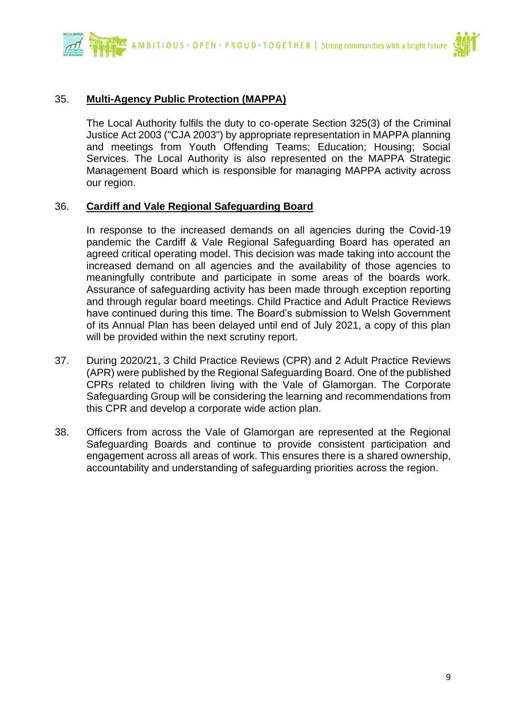AMBITIOUS · OPEN · PROUD · TOGETHER | Strong communities with a bright future



#### 35. **Multi-Agency Public Protection (MAPPA)**

The Local Authority fulfils the duty to co-operate Section 325(3) of the Criminal Justice Act 2003 ("CJA 2003") by appropriate representation in MAPPA planning and meetings from Youth Offending Teams; Education; Housing; Social Services. The Local Authority is also represented on the MAPPA Strategic Management Board which is responsible for managing MAPPA activity across our region.

#### 36. **Cardiff and Vale Regional Safeguarding Board**

In response to the increased demands on all agencies during the Covid-19 pandemic the Cardiff & Vale Regional Safeguarding Board has operated an agreed critical operating model. This decision was made taking into account the increased demand on all agencies and the availability of those agencies to meaningfully contribute and participate in some areas of the boards work. Assurance of safeguarding activity has been made through exception reporting and through regular board meetings. Child Practice and Adult Practice Reviews have continued during this time. The Board's submission to Welsh Government of its Annual Plan has been delayed until end of July 2021, a copy of this plan will be provided within the next scrutiny report.

- 37. During 2020/21, 3 Child Practice Reviews (CPR) and 2 Adult Practice Reviews (APR) were published by the Regional Safeguarding Board. One of the published CPRs related to children living with the Vale of Glamorgan. The Corporate Safeguarding Group will be considering the learning and recommendations from this CPR and develop a corporate wide action plan.
- 38. Officers from across the Vale of Glamorgan are represented at the Regional Safeguarding Boards and continue to provide consistent participation and engagement across all areas of work. This ensures there is a shared ownership, accountability and understanding of safeguarding priorities across the region.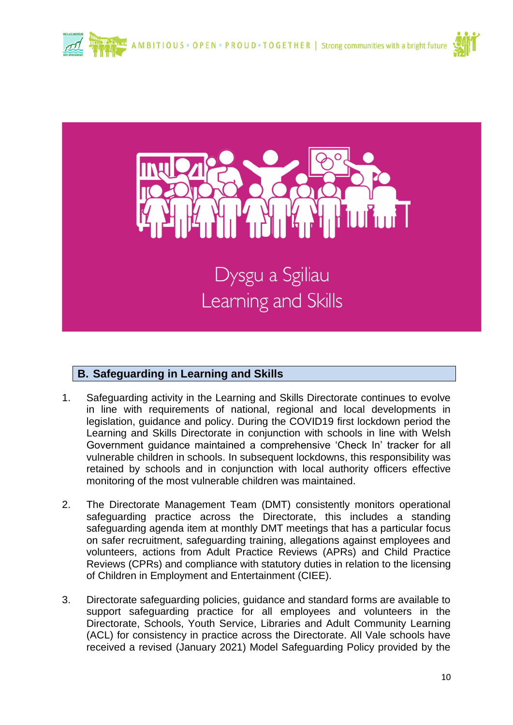



#### **B. Safeguarding in Learning and Skills**

- 1. Safeguarding activity in the Learning and Skills Directorate continues to evolve in line with requirements of national, regional and local developments in legislation, guidance and policy. During the COVID19 first lockdown period the Learning and Skills Directorate in conjunction with schools in line with Welsh Government guidance maintained a comprehensive 'Check In' tracker for all vulnerable children in schools. In subsequent lockdowns, this responsibility was retained by schools and in conjunction with local authority officers effective monitoring of the most vulnerable children was maintained.
- 2. The Directorate Management Team (DMT) consistently monitors operational safeguarding practice across the Directorate, this includes a standing safeguarding agenda item at monthly DMT meetings that has a particular focus on safer recruitment, safeguarding training, allegations against employees and volunteers, actions from Adult Practice Reviews (APRs) and Child Practice Reviews (CPRs) and compliance with statutory duties in relation to the licensing of Children in Employment and Entertainment (CIEE).
- 3. Directorate safeguarding policies, guidance and standard forms are available to support safeguarding practice for all employees and volunteers in the Directorate, Schools, Youth Service, Libraries and Adult Community Learning (ACL) for consistency in practice across the Directorate. All Vale schools have received a revised (January 2021) Model Safeguarding Policy provided by the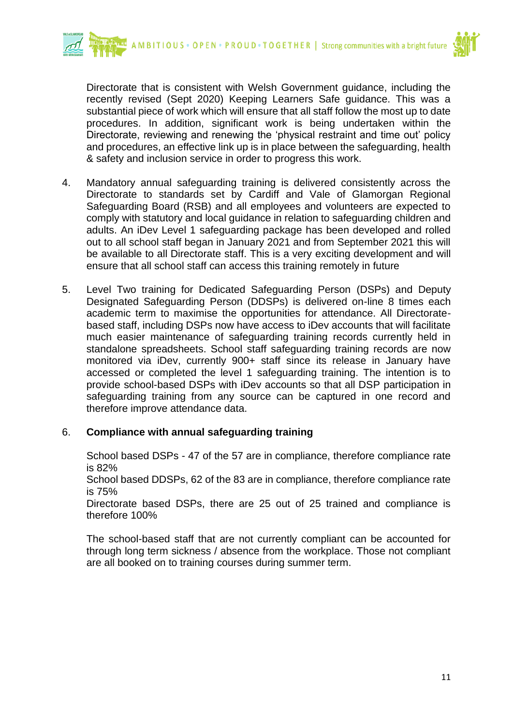



Directorate that is consistent with Welsh Government guidance, including the recently revised (Sept 2020) Keeping Learners Safe guidance. This was a substantial piece of work which will ensure that all staff follow the most up to date procedures. In addition, significant work is being undertaken within the Directorate, reviewing and renewing the 'physical restraint and time out' policy and procedures, an effective link up is in place between the safeguarding, health & safety and inclusion service in order to progress this work.

- 4. Mandatory annual safeguarding training is delivered consistently across the Directorate to standards set by Cardiff and Vale of Glamorgan Regional Safeguarding Board (RSB) and all employees and volunteers are expected to comply with statutory and local guidance in relation to safeguarding children and adults. An iDev Level 1 safeguarding package has been developed and rolled out to all school staff began in January 2021 and from September 2021 this will be available to all Directorate staff. This is a very exciting development and will ensure that all school staff can access this training remotely in future
- 5. Level Two training for Dedicated Safeguarding Person (DSPs) and Deputy Designated Safeguarding Person (DDSPs) is delivered on-line 8 times each academic term to maximise the opportunities for attendance. All Directoratebased staff, including DSPs now have access to iDev accounts that will facilitate much easier maintenance of safeguarding training records currently held in standalone spreadsheets. School staff safeguarding training records are now monitored via iDev, currently 900+ staff since its release in January have accessed or completed the level 1 safeguarding training. The intention is to provide school-based DSPs with iDev accounts so that all DSP participation in safeguarding training from any source can be captured in one record and therefore improve attendance data.

#### 6. **Compliance with annual safeguarding training**

School based DSPs - 47 of the 57 are in compliance, therefore compliance rate is 82%

School based DDSPs, 62 of the 83 are in compliance, therefore compliance rate is 75%

Directorate based DSPs, there are 25 out of 25 trained and compliance is therefore 100%

The school-based staff that are not currently compliant can be accounted for through long term sickness / absence from the workplace. Those not compliant are all booked on to training courses during summer term.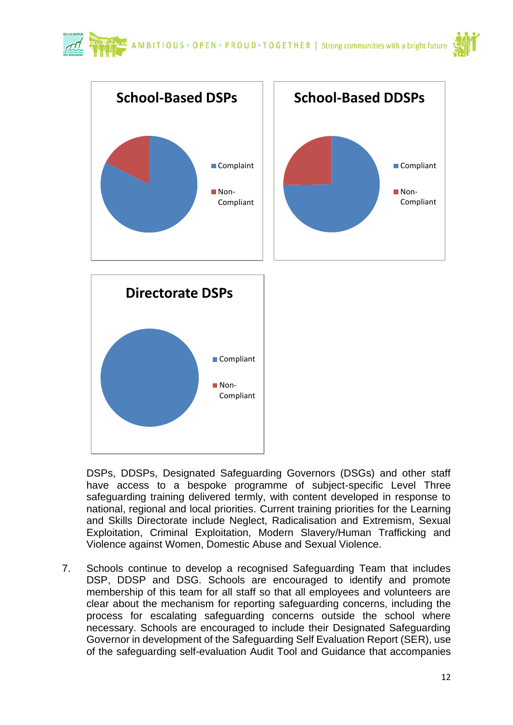



DSPs, DDSPs, Designated Safeguarding Governors (DSGs) and other staff have access to a bespoke programme of subject-specific Level Three safeguarding training delivered termly, with content developed in response to national, regional and local priorities. Current training priorities for the Learning and Skills Directorate include Neglect, Radicalisation and Extremism, Sexual Exploitation, Criminal Exploitation, Modern Slavery/Human Trafficking and Violence against Women, Domestic Abuse and Sexual Violence.

7. Schools continue to develop a recognised Safeguarding Team that includes DSP, DDSP and DSG. Schools are encouraged to identify and promote membership of this team for all staff so that all employees and volunteers are clear about the mechanism for reporting safeguarding concerns, including the process for escalating safeguarding concerns outside the school where necessary. Schools are encouraged to include their Designated Safeguarding Governor in development of the Safeguarding Self Evaluation Report (SER), use of the safeguarding self-evaluation Audit Tool and Guidance that accompanies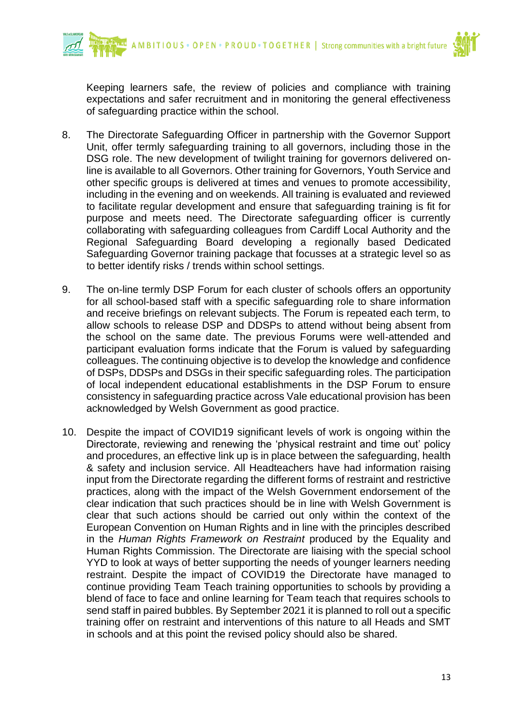

Keeping learners safe, the review of policies and compliance with training expectations and safer recruitment and in monitoring the general effectiveness of safeguarding practice within the school.

- 8. The Directorate Safeguarding Officer in partnership with the Governor Support Unit, offer termly safeguarding training to all governors, including those in the DSG role. The new development of twilight training for governors delivered online is available to all Governors. Other training for Governors, Youth Service and other specific groups is delivered at times and venues to promote accessibility, including in the evening and on weekends. All training is evaluated and reviewed to facilitate regular development and ensure that safeguarding training is fit for purpose and meets need. The Directorate safeguarding officer is currently collaborating with safeguarding colleagues from Cardiff Local Authority and the Regional Safeguarding Board developing a regionally based Dedicated Safeguarding Governor training package that focusses at a strategic level so as to better identify risks / trends within school settings.
- 9. The on-line termly DSP Forum for each cluster of schools offers an opportunity for all school-based staff with a specific safeguarding role to share information and receive briefings on relevant subjects. The Forum is repeated each term, to allow schools to release DSP and DDSPs to attend without being absent from the school on the same date. The previous Forums were well-attended and participant evaluation forms indicate that the Forum is valued by safeguarding colleagues. The continuing objective is to develop the knowledge and confidence of DSPs, DDSPs and DSGs in their specific safeguarding roles. The participation of local independent educational establishments in the DSP Forum to ensure consistency in safeguarding practice across Vale educational provision has been acknowledged by Welsh Government as good practice.
- 10. Despite the impact of COVID19 significant levels of work is ongoing within the Directorate, reviewing and renewing the 'physical restraint and time out' policy and procedures, an effective link up is in place between the safeguarding, health & safety and inclusion service. All Headteachers have had information raising input from the Directorate regarding the different forms of restraint and restrictive practices, along with the impact of the Welsh Government endorsement of the clear indication that such practices should be in line with Welsh Government is clear that such actions should be carried out only within the context of the European Convention on Human Rights and in line with the principles described in the *Human Rights Framework on Restraint* produced by the Equality and Human Rights Commission. The Directorate are liaising with the special school YYD to look at ways of better supporting the needs of younger learners needing restraint. Despite the impact of COVID19 the Directorate have managed to continue providing Team Teach training opportunities to schools by providing a blend of face to face and online learning for Team teach that requires schools to send staff in paired bubbles. By September 2021 it is planned to roll out a specific training offer on restraint and interventions of this nature to all Heads and SMT in schools and at this point the revised policy should also be shared.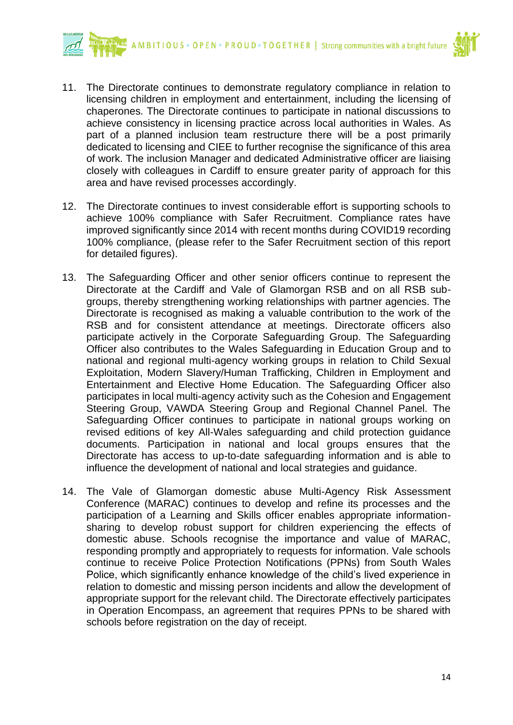

- 11. The Directorate continues to demonstrate regulatory compliance in relation to licensing children in employment and entertainment, including the licensing of chaperones. The Directorate continues to participate in national discussions to achieve consistency in licensing practice across local authorities in Wales. As part of a planned inclusion team restructure there will be a post primarily dedicated to licensing and CIEE to further recognise the significance of this area of work. The inclusion Manager and dedicated Administrative officer are liaising closely with colleagues in Cardiff to ensure greater parity of approach for this area and have revised processes accordingly.
- 12. The Directorate continues to invest considerable effort is supporting schools to achieve 100% compliance with Safer Recruitment. Compliance rates have improved significantly since 2014 with recent months during COVID19 recording 100% compliance, (please refer to the Safer Recruitment section of this report for detailed figures).
- 13. The Safeguarding Officer and other senior officers continue to represent the Directorate at the Cardiff and Vale of Glamorgan RSB and on all RSB subgroups, thereby strengthening working relationships with partner agencies. The Directorate is recognised as making a valuable contribution to the work of the RSB and for consistent attendance at meetings. Directorate officers also participate actively in the Corporate Safeguarding Group. The Safeguarding Officer also contributes to the Wales Safeguarding in Education Group and to national and regional multi-agency working groups in relation to Child Sexual Exploitation, Modern Slavery/Human Trafficking, Children in Employment and Entertainment and Elective Home Education. The Safeguarding Officer also participates in local multi-agency activity such as the Cohesion and Engagement Steering Group, VAWDA Steering Group and Regional Channel Panel. The Safeguarding Officer continues to participate in national groups working on revised editions of key All-Wales safeguarding and child protection guidance documents. Participation in national and local groups ensures that the Directorate has access to up-to-date safeguarding information and is able to influence the development of national and local strategies and guidance.
- 14. The Vale of Glamorgan domestic abuse Multi-Agency Risk Assessment Conference (MARAC) continues to develop and refine its processes and the participation of a Learning and Skills officer enables appropriate informationsharing to develop robust support for children experiencing the effects of domestic abuse. Schools recognise the importance and value of MARAC, responding promptly and appropriately to requests for information. Vale schools continue to receive Police Protection Notifications (PPNs) from South Wales Police, which significantly enhance knowledge of the child's lived experience in relation to domestic and missing person incidents and allow the development of appropriate support for the relevant child. The Directorate effectively participates in Operation Encompass, an agreement that requires PPNs to be shared with schools before registration on the day of receipt.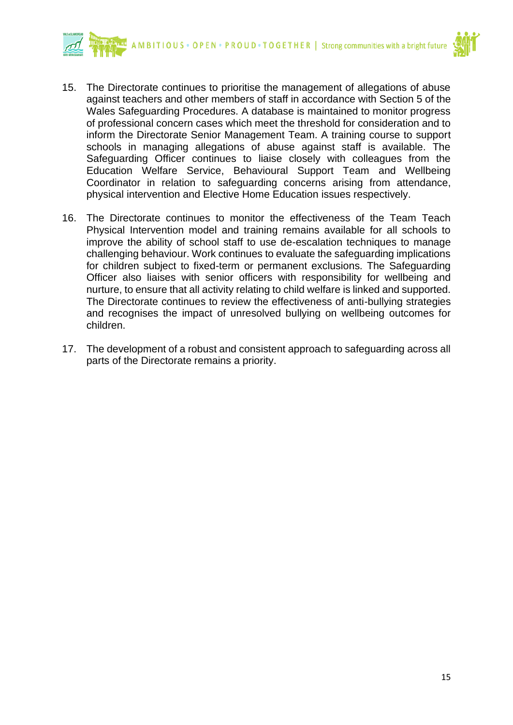

- 15. The Directorate continues to prioritise the management of allegations of abuse against teachers and other members of staff in accordance with Section 5 of the Wales Safeguarding Procedures. A database is maintained to monitor progress of professional concern cases which meet the threshold for consideration and to inform the Directorate Senior Management Team. A training course to support schools in managing allegations of abuse against staff is available. The Safeguarding Officer continues to liaise closely with colleagues from the Education Welfare Service, Behavioural Support Team and Wellbeing Coordinator in relation to safeguarding concerns arising from attendance, physical intervention and Elective Home Education issues respectively.
- 16. The Directorate continues to monitor the effectiveness of the Team Teach Physical Intervention model and training remains available for all schools to improve the ability of school staff to use de-escalation techniques to manage challenging behaviour. Work continues to evaluate the safeguarding implications for children subject to fixed-term or permanent exclusions. The Safeguarding Officer also liaises with senior officers with responsibility for wellbeing and nurture, to ensure that all activity relating to child welfare is linked and supported. The Directorate continues to review the effectiveness of anti-bullying strategies and recognises the impact of unresolved bullying on wellbeing outcomes for children.
- 17. The development of a robust and consistent approach to safeguarding across all parts of the Directorate remains a priority.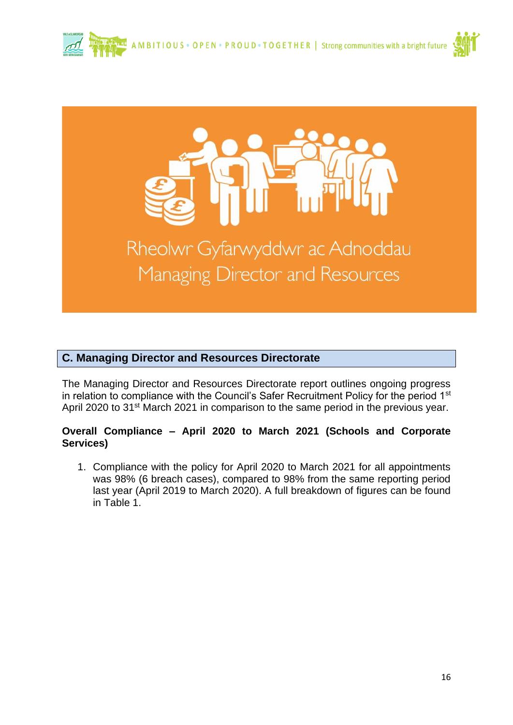





#### **C. Managing Director and Resources Directorate**

The Managing Director and Resources Directorate report outlines ongoing progress in relation to compliance with the Council's Safer Recruitment Policy for the period 1<sup>st</sup> April 2020 to 31<sup>st</sup> March 2021 in comparison to the same period in the previous year.

#### **Overall Compliance – April 2020 to March 2021 (Schools and Corporate Services)**

1. Compliance with the policy for April 2020 to March 2021 for all appointments was 98% (6 breach cases), compared to 98% from the same reporting period last year (April 2019 to March 2020). A full breakdown of figures can be found in Table 1.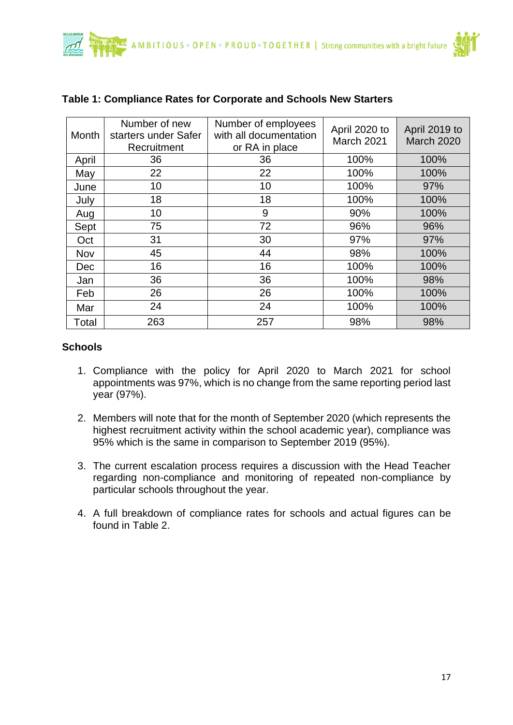

| Month | Number of new<br>starters under Safer<br>Recruitment | Number of employees<br>with all documentation<br>or RA in place | April 2020 to<br>March 2021 | April 2019 to<br><b>March 2020</b> |
|-------|------------------------------------------------------|-----------------------------------------------------------------|-----------------------------|------------------------------------|
| April | 36                                                   | 36                                                              | 100%                        | 100%                               |
| May   | 22                                                   | 22                                                              | 100%                        | 100%                               |
| June  | 10                                                   | 10                                                              | 100%                        | 97%                                |
| July  | 18                                                   | 18                                                              | 100%                        | 100%                               |
| Aug   | 10                                                   | 9                                                               | 90%                         | 100%                               |
| Sept  | 75                                                   | 72                                                              | 96%                         | 96%                                |
| Oct   | 31                                                   | 30                                                              | 97%                         | 97%                                |
| Nov   | 45                                                   | 44                                                              | 98%                         | 100%                               |
| Dec   | 16                                                   | 16                                                              | 100%                        | 100%                               |
| Jan   | 36                                                   | 36                                                              | 100%                        | 98%                                |
| Feb   | 26                                                   | 26                                                              | 100%                        | 100%                               |
| Mar   | 24                                                   | 24                                                              | 100%                        | 100%                               |
| Total | 263                                                  | 257                                                             | 98%                         | 98%                                |

#### **Table 1: Compliance Rates for Corporate and Schools New Starters**

#### **Schools**

- 1. Compliance with the policy for April 2020 to March 2021 for school appointments was 97%, which is no change from the same reporting period last year (97%).
- 2. Members will note that for the month of September 2020 (which represents the highest recruitment activity within the school academic year), compliance was 95% which is the same in comparison to September 2019 (95%).
- 3. The current escalation process requires a discussion with the Head Teacher regarding non-compliance and monitoring of repeated non-compliance by particular schools throughout the year.
- 4. A full breakdown of compliance rates for schools and actual figures can be found in Table 2.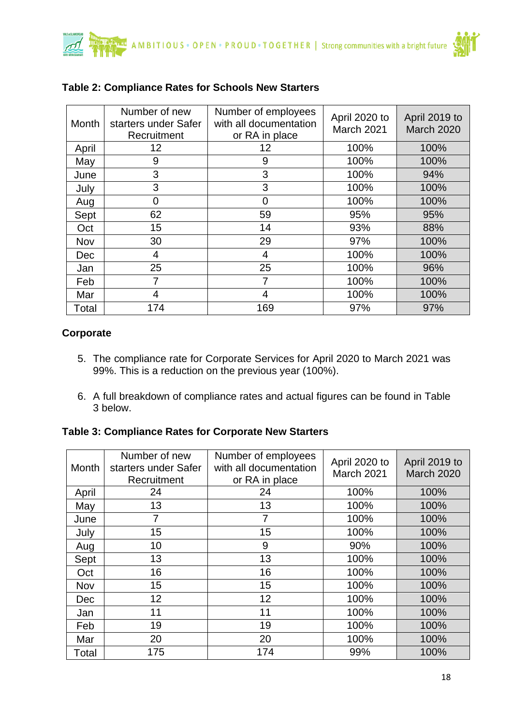

| Month      | Number of new<br>starters under Safer<br>Recruitment | Number of employees<br>with all documentation<br>or RA in place | April 2020 to<br>March 2021 | April 2019 to<br><b>March 2020</b> |
|------------|------------------------------------------------------|-----------------------------------------------------------------|-----------------------------|------------------------------------|
| April      | 12                                                   | 12                                                              | 100%                        | 100%                               |
| May        | 9                                                    | 9                                                               | 100%                        | 100%                               |
| June       | 3                                                    | 3                                                               | 100%                        | 94%                                |
| July       | 3                                                    | 3                                                               | 100%                        | 100%                               |
| Aug        | $\overline{0}$                                       | 0                                                               | 100%                        | 100%                               |
| Sept       | 62                                                   | 59                                                              | 95%                         | 95%                                |
| Oct        | 15                                                   | 14                                                              | 93%                         | 88%                                |
| Nov        | 30                                                   | 29                                                              | 97%                         | 100%                               |
| <b>Dec</b> | 4                                                    | 4                                                               | 100%                        | 100%                               |
| Jan        | 25                                                   | 25                                                              | 100%                        | 96%                                |
| Feb        | 7                                                    | 7                                                               | 100%                        | 100%                               |
| Mar        | 4                                                    | 4                                                               | 100%                        | 100%                               |
| Total      | 174                                                  | 169                                                             | 97%                         | 97%                                |

#### **Table 2: Compliance Rates for Schools New Starters**

#### **Corporate**

- 5. The compliance rate for Corporate Services for April 2020 to March 2021 was 99%. This is a reduction on the previous year (100%).
- 6. A full breakdown of compliance rates and actual figures can be found in Table 3 below.

#### **Table 3: Compliance Rates for Corporate New Starters**

| Month | Number of new<br>starters under Safer<br>Recruitment | Number of employees<br>with all documentation<br>or RA in place | April 2020 to<br>March 2021 | April 2019 to<br>March 2020 |
|-------|------------------------------------------------------|-----------------------------------------------------------------|-----------------------------|-----------------------------|
| April | 24                                                   | 24                                                              | 100%                        | 100%                        |
| May   | 13                                                   | 13                                                              | 100%                        | 100%                        |
| June  | 7                                                    | 7                                                               | 100%                        | 100%                        |
| July  | 15                                                   | 15                                                              | 100%                        | 100%                        |
| Aug   | 10                                                   | 9                                                               | 90%                         | 100%                        |
| Sept  | 13                                                   | 13                                                              | 100%                        | 100%                        |
| Oct   | 16                                                   | 16                                                              | 100%                        | 100%                        |
| Nov   | 15                                                   | 15                                                              | 100%                        | 100%                        |
| Dec   | 12                                                   | 12                                                              | 100%                        | 100%                        |
| Jan   | 11                                                   | 11                                                              | 100%                        | 100%                        |
| Feb   | 19                                                   | 19                                                              | 100%                        | 100%                        |
| Mar   | 20                                                   | 20                                                              | 100%                        | 100%                        |
| Total | 175                                                  | 174                                                             | 99%                         | 100%                        |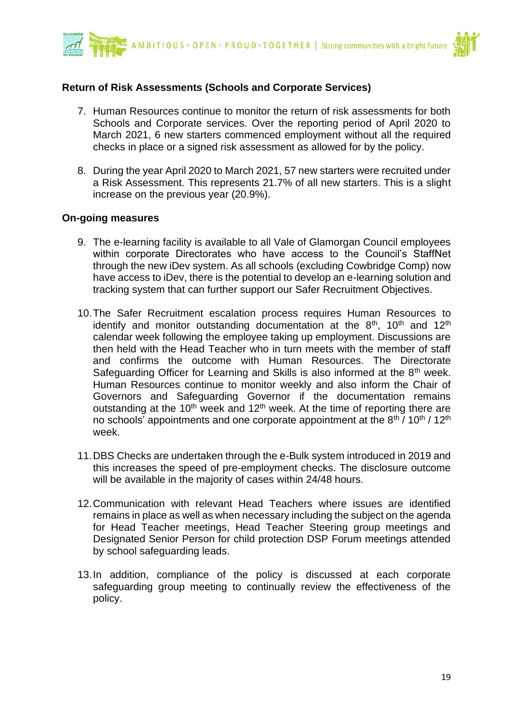

#### **Return of Risk Assessments (Schools and Corporate Services)**

- 7. Human Resources continue to monitor the return of risk assessments for both Schools and Corporate services. Over the reporting period of April 2020 to March 2021, 6 new starters commenced employment without all the required checks in place or a signed risk assessment as allowed for by the policy.
- 8. During the year April 2020 to March 2021, 57 new starters were recruited under a Risk Assessment. This represents 21.7% of all new starters. This is a slight increase on the previous year (20.9%).

#### **On-going measures**

- 9. The e-learning facility is available to all Vale of Glamorgan Council employees within corporate Directorates who have access to the Council's StaffNet through the new iDev system. As all schools (excluding Cowbridge Comp) now have access to iDev, there is the potential to develop an e-learning solution and tracking system that can further support our Safer Recruitment Objectives.
- 10.The Safer Recruitment escalation process requires Human Resources to identify and monitor outstanding documentation at the  $8<sup>th</sup>$ , 10<sup>th</sup> and 12<sup>th</sup> calendar week following the employee taking up employment. Discussions are then held with the Head Teacher who in turn meets with the member of staff and confirms the outcome with Human Resources. The Directorate Safeguarding Officer for Learning and Skills is also informed at the  $8<sup>th</sup>$  week. Human Resources continue to monitor weekly and also inform the Chair of Governors and Safeguarding Governor if the documentation remains outstanding at the 10<sup>th</sup> week and 12<sup>th</sup> week. At the time of reporting there are no schools' appointments and one corporate appointment at the  $8^{\text{th}}$  /  $10^{\text{th}}$  /  $12^{\text{th}}$ week.
- 11.DBS Checks are undertaken through the e-Bulk system introduced in 2019 and this increases the speed of pre-employment checks. The disclosure outcome will be available in the majority of cases within 24/48 hours.
- 12.Communication with relevant Head Teachers where issues are identified remains in place as well as when necessary including the subject on the agenda for Head Teacher meetings, Head Teacher Steering group meetings and Designated Senior Person for child protection DSP Forum meetings attended by school safeguarding leads.
- 13.In addition, compliance of the policy is discussed at each corporate safeguarding group meeting to continually review the effectiveness of the policy.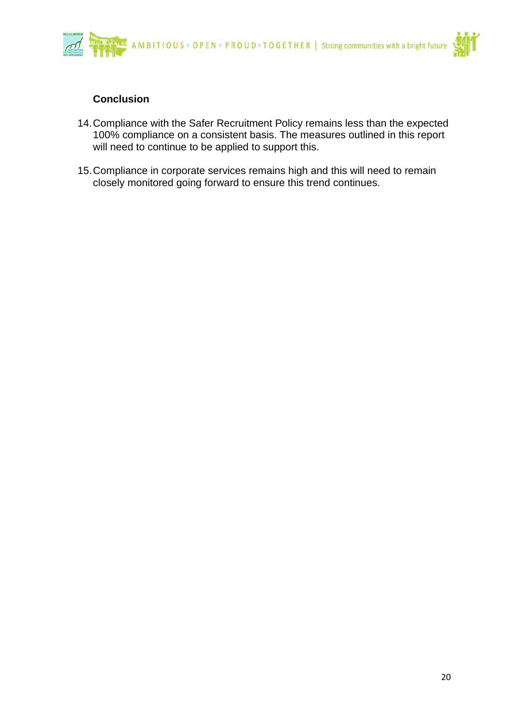

#### **Conclusion**

- 14.Compliance with the Safer Recruitment Policy remains less than the expected 100% compliance on a consistent basis. The measures outlined in this report will need to continue to be applied to support this.
- 15.Compliance in corporate services remains high and this will need to remain closely monitored going forward to ensure this trend continues.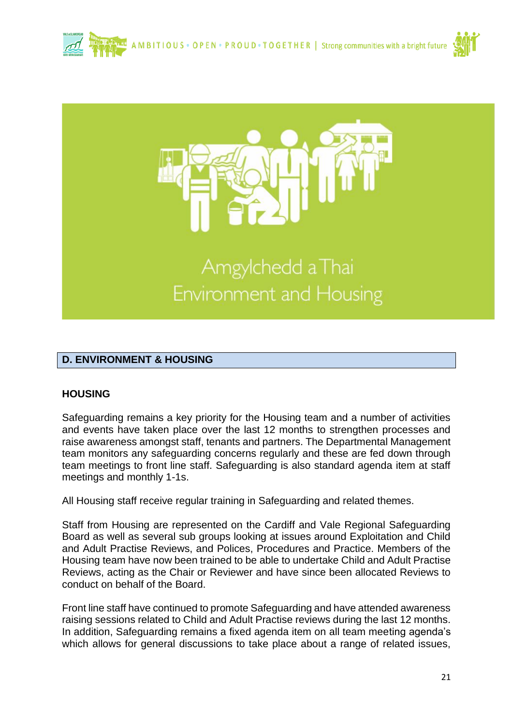





## Amgylchedd a Thai Environment and Housing

#### **D. ENVIRONMENT & HOUSING**

#### **HOUSING**

Safeguarding remains a key priority for the Housing team and a number of activities and events have taken place over the last 12 months to strengthen processes and raise awareness amongst staff, tenants and partners. The Departmental Management team monitors any safeguarding concerns regularly and these are fed down through team meetings to front line staff. Safeguarding is also standard agenda item at staff meetings and monthly 1-1s.

All Housing staff receive regular training in Safeguarding and related themes.

Staff from Housing are represented on the Cardiff and Vale Regional Safeguarding Board as well as several sub groups looking at issues around Exploitation and Child and Adult Practise Reviews, and Polices, Procedures and Practice. Members of the Housing team have now been trained to be able to undertake Child and Adult Practise Reviews, acting as the Chair or Reviewer and have since been allocated Reviews to conduct on behalf of the Board.

Front line staff have continued to promote Safeguarding and have attended awareness raising sessions related to Child and Adult Practise reviews during the last 12 months. In addition, Safeguarding remains a fixed agenda item on all team meeting agenda's which allows for general discussions to take place about a range of related issues,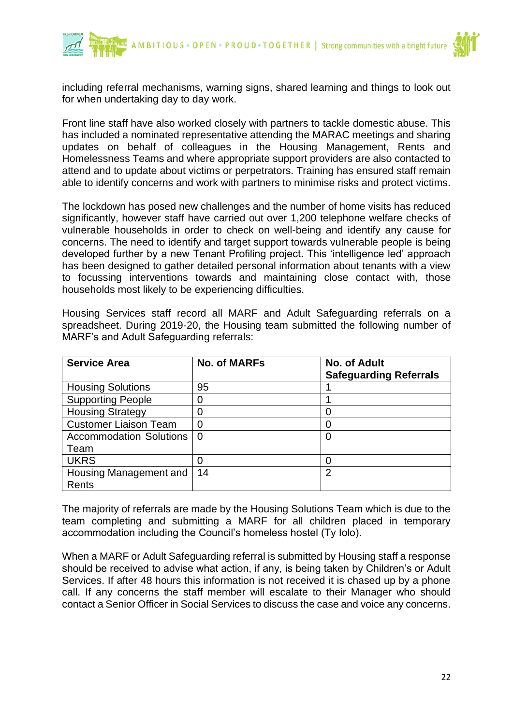

including referral mechanisms, warning signs, shared learning and things to look out for when undertaking day to day work.

Front line staff have also worked closely with partners to tackle domestic abuse. This has included a nominated representative attending the MARAC meetings and sharing updates on behalf of colleagues in the Housing Management, Rents and Homelessness Teams and where appropriate support providers are also contacted to attend and to update about victims or perpetrators. Training has ensured staff remain able to identify concerns and work with partners to minimise risks and protect victims.

The lockdown has posed new challenges and the number of home visits has reduced significantly, however staff have carried out over 1,200 telephone welfare checks of vulnerable households in order to check on well-being and identify any cause for concerns. The need to identify and target support towards vulnerable people is being developed further by a new Tenant Profiling project. This 'intelligence led' approach has been designed to gather detailed personal information about tenants with a view to focussing interventions towards and maintaining close contact with, those households most likely to be experiencing difficulties.

Housing Services staff record all MARF and Adult Safeguarding referrals on a spreadsheet. During 2019-20, the Housing team submitted the following number of MARF's and Adult Safeguarding referrals:

| <b>Service Area</b>             | <b>No. of MARFs</b> | <b>No. of Adult</b><br><b>Safeguarding Referrals</b> |
|---------------------------------|---------------------|------------------------------------------------------|
| <b>Housing Solutions</b>        | 95                  |                                                      |
| <b>Supporting People</b>        | 0                   |                                                      |
| <b>Housing Strategy</b>         |                     |                                                      |
| <b>Customer Liaison Team</b>    | 0                   |                                                      |
| Accommodation Solutions         | $\Omega$            | O                                                    |
| Team                            |                     |                                                      |
| <b>UKRS</b>                     |                     |                                                      |
| Housing Management and<br>Rents | 14                  | 2                                                    |

The majority of referrals are made by the Housing Solutions Team which is due to the team completing and submitting a MARF for all children placed in temporary accommodation including the Council's homeless hostel (Ty Iolo).

When a MARF or Adult Safeguarding referral is submitted by Housing staff a response should be received to advise what action, if any, is being taken by Children's or Adult Services. If after 48 hours this information is not received it is chased up by a phone call. If any concerns the staff member will escalate to their Manager who should contact a Senior Officer in Social Services to discuss the case and voice any concerns.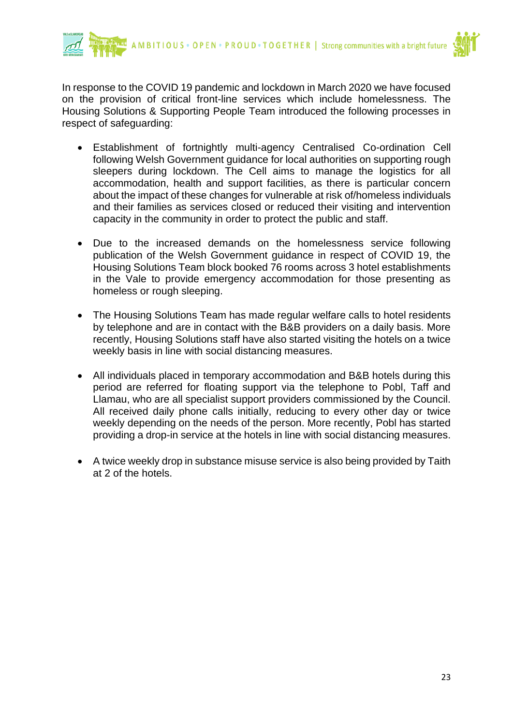



In response to the COVID 19 pandemic and lockdown in March 2020 we have focused on the provision of critical front-line services which include homelessness. The Housing Solutions & Supporting People Team introduced the following processes in respect of safeguarding:

- Establishment of fortnightly multi-agency Centralised Co-ordination Cell following Welsh Government guidance for local authorities on supporting rough sleepers during lockdown. The Cell aims to manage the logistics for all accommodation, health and support facilities, as there is particular concern about the impact of these changes for vulnerable at risk of/homeless individuals and their families as services closed or reduced their visiting and intervention capacity in the community in order to protect the public and staff.
- Due to the increased demands on the homelessness service following publication of the Welsh Government guidance in respect of COVID 19, the Housing Solutions Team block booked 76 rooms across 3 hotel establishments in the Vale to provide emergency accommodation for those presenting as homeless or rough sleeping.
- The Housing Solutions Team has made regular welfare calls to hotel residents by telephone and are in contact with the B&B providers on a daily basis. More recently, Housing Solutions staff have also started visiting the hotels on a twice weekly basis in line with social distancing measures.
- All individuals placed in temporary accommodation and B&B hotels during this period are referred for floating support via the telephone to Pobl, Taff and Llamau, who are all specialist support providers commissioned by the Council. All received daily phone calls initially, reducing to every other day or twice weekly depending on the needs of the person. More recently, Pobl has started providing a drop-in service at the hotels in line with social distancing measures.
- A twice weekly drop in substance misuse service is also being provided by Taith at 2 of the hotels.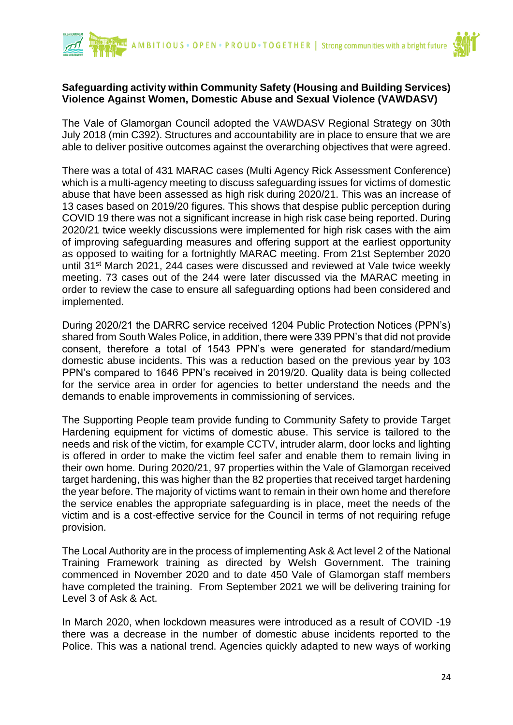



#### **Safeguarding activity within Community Safety (Housing and Building Services) Violence Against Women, Domestic Abuse and Sexual Violence (VAWDASV)**

The Vale of Glamorgan Council adopted the VAWDASV Regional Strategy on 30th July 2018 (min C392). Structures and accountability are in place to ensure that we are able to deliver positive outcomes against the overarching objectives that were agreed.

There was a total of 431 MARAC cases (Multi Agency Rick Assessment Conference) which is a multi-agency meeting to discuss safeguarding issues for victims of domestic abuse that have been assessed as high risk during 2020/21. This was an increase of 13 cases based on 2019/20 figures. This shows that despise public perception during COVID 19 there was not a significant increase in high risk case being reported. During 2020/21 twice weekly discussions were implemented for high risk cases with the aim of improving safeguarding measures and offering support at the earliest opportunity as opposed to waiting for a fortnightly MARAC meeting. From 21st September 2020 until 31st March 2021, 244 cases were discussed and reviewed at Vale twice weekly meeting. 73 cases out of the 244 were later discussed via the MARAC meeting in order to review the case to ensure all safeguarding options had been considered and implemented.

During 2020/21 the DARRC service received 1204 Public Protection Notices (PPN's) shared from South Wales Police, in addition, there were 339 PPN's that did not provide consent, therefore a total of 1543 PPN's were generated for standard/medium domestic abuse incidents. This was a reduction based on the previous year by 103 PPN's compared to 1646 PPN's received in 2019/20. Quality data is being collected for the service area in order for agencies to better understand the needs and the demands to enable improvements in commissioning of services.

The Supporting People team provide funding to Community Safety to provide Target Hardening equipment for victims of domestic abuse. This service is tailored to the needs and risk of the victim, for example CCTV, intruder alarm, door locks and lighting is offered in order to make the victim feel safer and enable them to remain living in their own home. During 2020/21, 97 properties within the Vale of Glamorgan received target hardening, this was higher than the 82 properties that received target hardening the year before. The majority of victims want to remain in their own home and therefore the service enables the appropriate safeguarding is in place, meet the needs of the victim and is a cost-effective service for the Council in terms of not requiring refuge provision.

The Local Authority are in the process of implementing Ask & Act level 2 of the National Training Framework training as directed by Welsh Government. The training commenced in November 2020 and to date 450 Vale of Glamorgan staff members have completed the training. From September 2021 we will be delivering training for Level 3 of Ask & Act.

In March 2020, when lockdown measures were introduced as a result of COVID -19 there was a decrease in the number of domestic abuse incidents reported to the Police. This was a national trend. Agencies quickly adapted to new ways of working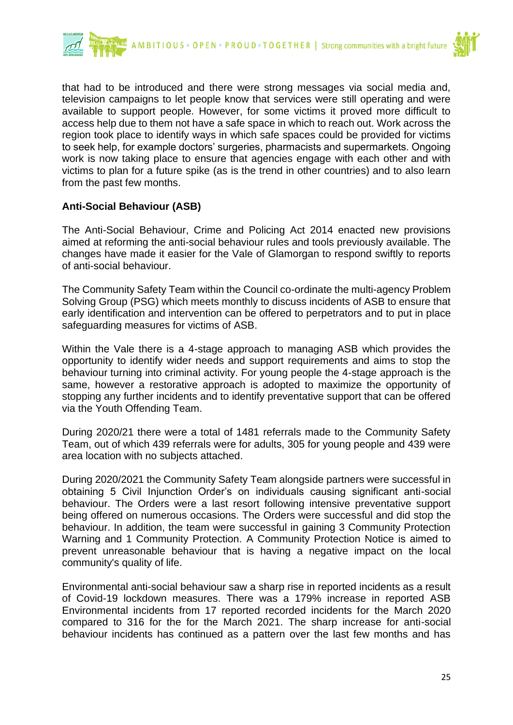



that had to be introduced and there were strong messages via social media and, television campaigns to let people know that services were still operating and were available to support people. However, for some victims it proved more difficult to access help due to them not have a safe space in which to reach out. Work across the region took place to identify ways in which safe spaces could be provided for victims to seek help, for example doctors' surgeries, pharmacists and supermarkets. Ongoing work is now taking place to ensure that agencies engage with each other and with victims to plan for a future spike (as is the trend in other countries) and to also learn from the past few months.

#### **Anti-Social Behaviour (ASB)**

The Anti-Social Behaviour, Crime and Policing Act 2014 enacted new provisions aimed at reforming the anti-social behaviour rules and tools previously available. The changes have made it easier for the Vale of Glamorgan to respond swiftly to reports of anti-social behaviour.

The Community Safety Team within the Council co-ordinate the multi-agency Problem Solving Group (PSG) which meets monthly to discuss incidents of ASB to ensure that early identification and intervention can be offered to perpetrators and to put in place safeguarding measures for victims of ASB.

Within the Vale there is a 4-stage approach to managing ASB which provides the opportunity to identify wider needs and support requirements and aims to stop the behaviour turning into criminal activity. For young people the 4-stage approach is the same, however a restorative approach is adopted to maximize the opportunity of stopping any further incidents and to identify preventative support that can be offered via the Youth Offending Team.

During 2020/21 there were a total of 1481 referrals made to the Community Safety Team, out of which 439 referrals were for adults, 305 for young people and 439 were area location with no subjects attached.

During 2020/2021 the Community Safety Team alongside partners were successful in obtaining 5 Civil Injunction Order's on individuals causing significant anti-social behaviour. The Orders were a last resort following intensive preventative support being offered on numerous occasions. The Orders were successful and did stop the behaviour. In addition, the team were successful in gaining 3 Community Protection Warning and 1 Community Protection. A Community Protection Notice is aimed to prevent unreasonable behaviour that is having a negative impact on the local community's quality of life.

Environmental anti-social behaviour saw a sharp rise in reported incidents as a result of Covid-19 lockdown measures. There was a 179% increase in reported ASB Environmental incidents from 17 reported recorded incidents for the March 2020 compared to 316 for the for the March 2021. The sharp increase for anti-social behaviour incidents has continued as a pattern over the last few months and has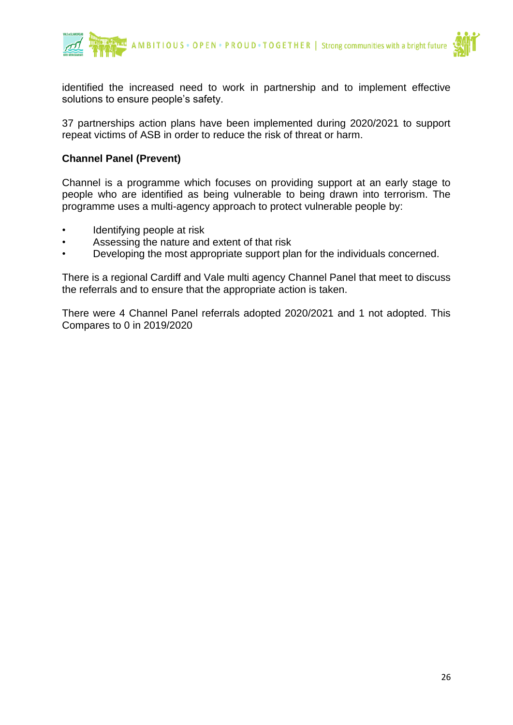

identified the increased need to work in partnership and to implement effective solutions to ensure people's safety.

37 partnerships action plans have been implemented during 2020/2021 to support repeat victims of ASB in order to reduce the risk of threat or harm.

#### **Channel Panel (Prevent)**

Channel is a programme which focuses on providing support at an early stage to people who are identified as being vulnerable to being drawn into terrorism. The programme uses a multi-agency approach to protect vulnerable people by:

- Identifying people at risk
- Assessing the nature and extent of that risk
- Developing the most appropriate support plan for the individuals concerned.

There is a regional Cardiff and Vale multi agency Channel Panel that meet to discuss the referrals and to ensure that the appropriate action is taken.

There were 4 Channel Panel referrals adopted 2020/2021 and 1 not adopted. This Compares to 0 in 2019/2020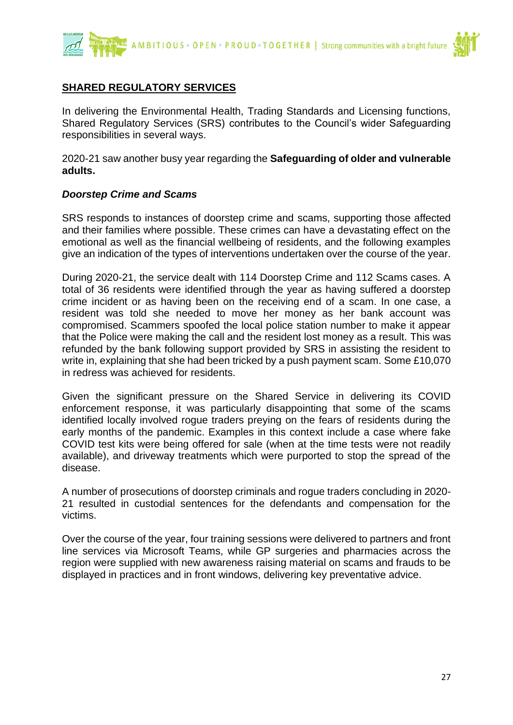

#### **SHARED REGULATORY SERVICES**

In delivering the Environmental Health, Trading Standards and Licensing functions, Shared Regulatory Services (SRS) contributes to the Council's wider Safeguarding responsibilities in several ways.

2020-21 saw another busy year regarding the **Safeguarding of older and vulnerable adults.**

#### *Doorstep Crime and Scams*

SRS responds to instances of doorstep crime and scams, supporting those affected and their families where possible. These crimes can have a devastating effect on the emotional as well as the financial wellbeing of residents, and the following examples give an indication of the types of interventions undertaken over the course of the year.

During 2020-21, the service dealt with 114 Doorstep Crime and 112 Scams cases. A total of 36 residents were identified through the year as having suffered a doorstep crime incident or as having been on the receiving end of a scam. In one case, a resident was told she needed to move her money as her bank account was compromised. Scammers spoofed the local police station number to make it appear that the Police were making the call and the resident lost money as a result. This was refunded by the bank following support provided by SRS in assisting the resident to write in, explaining that she had been tricked by a push payment scam. Some £10,070 in redress was achieved for residents.

Given the significant pressure on the Shared Service in delivering its COVID enforcement response, it was particularly disappointing that some of the scams identified locally involved rogue traders preying on the fears of residents during the early months of the pandemic. Examples in this context include a case where fake COVID test kits were being offered for sale (when at the time tests were not readily available), and driveway treatments which were purported to stop the spread of the disease.

A number of prosecutions of doorstep criminals and rogue traders concluding in 2020- 21 resulted in custodial sentences for the defendants and compensation for the victims.

Over the course of the year, four training sessions were delivered to partners and front line services via Microsoft Teams, while GP surgeries and pharmacies across the region were supplied with new awareness raising material on scams and frauds to be displayed in practices and in front windows, delivering key preventative advice.